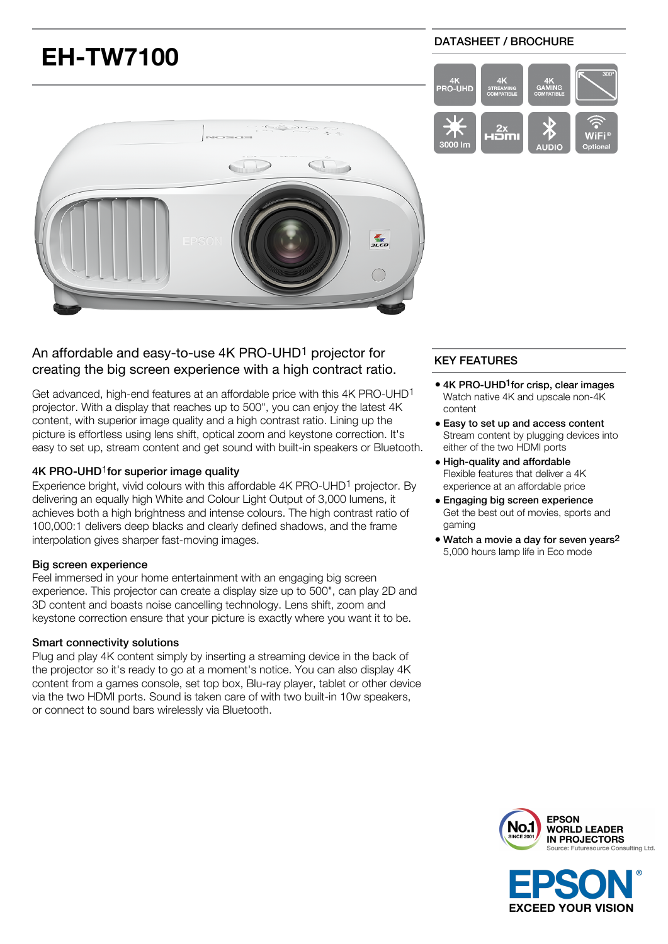

# An affordable and easy-to-use 4K PRO-UHD1 projector for creating the big screen experience with a high contract ratio.

Get advanced, high-end features at an affordable price with this 4K PRO-UHD1 projector. With a display that reaches up to 500", you can enjoy the latest 4K content, with superior image quality and a high contrast ratio. Lining up the picture is effortless using lens shift, optical zoom and keystone correction. It's easy to set up, stream content and get sound with built-in speakers or Bluetooth.

### 4K PRO-UHD<sup>1</sup>for superior image quality

Experience bright, vivid colours with this affordable 4K PRO-UHD<sup>1</sup> projector. By delivering an equally high White and Colour Light Output of 3,000 lumens, it achieves both a high brightness and intense colours. The high contrast ratio of 100,000:1 delivers deep blacks and clearly defined shadows, and the frame interpolation gives sharper fast-moving images.

### Big screen experience

Feel immersed in your home entertainment with an engaging big screen experience. This projector can create a display size up to 500", can play 2D and 3D content and boasts noise cancelling technology. Lens shift, zoom and keystone correction ensure that your picture is exactly where you want it to be.

### Smart connectivity solutions

Plug and play 4K content simply by inserting a streaming device in the back of the projector so it's ready to go at a moment's notice. You can also display 4K content from a games console, set top box, Blu-ray player, tablet or other device via the two HDMI ports. Sound is taken care of with two built-in 10w speakers, or connect to sound bars wirelessly via Bluetooth.

## KEY FEATURES

- 4K PRO-UHD<sup>1</sup> for crisp, clear images Watch native 4K and upscale non-4K content
- Easy to set up and access content Stream content by plugging devices into either of the two HDMI ports
- High-quality and affordable Flexible features that deliver a 4K experience at an affordable price
- Engaging big screen experience Get the best out of movies, sports and gaming
- Watch a movie a day for seven years2 5,000 hours lamp life in Eco mode



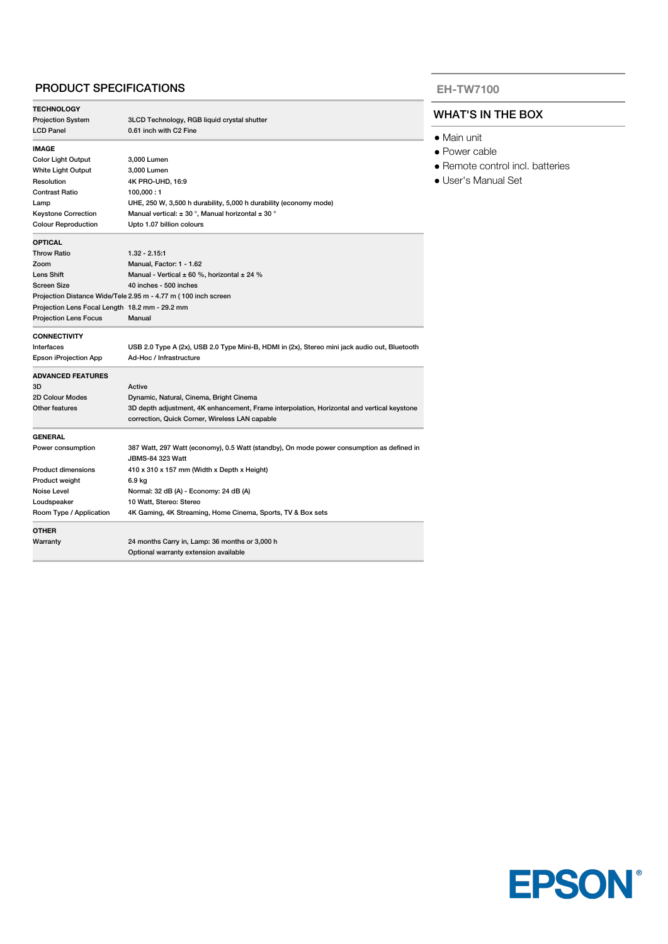### PRODUCT SPECIFICATIONS

| <b>TECHNOLOGY</b>                              |                                                                                                                      |
|------------------------------------------------|----------------------------------------------------------------------------------------------------------------------|
| <b>Projection System</b>                       | 3LCD Technology, RGB liquid crystal shutter                                                                          |
| <b>LCD Panel</b>                               | 0.61 inch with C2 Fine                                                                                               |
| <b>IMAGE</b>                                   |                                                                                                                      |
| <b>Color Light Output</b>                      | 3,000 Lumen                                                                                                          |
| <b>White Light Output</b>                      | 3.000 Lumen                                                                                                          |
| Resolution                                     | 4K PRO-UHD, 16:9                                                                                                     |
| <b>Contrast Ratio</b>                          | 100,000:1                                                                                                            |
| Lamp                                           | UHE, 250 W, 3,500 h durability, 5,000 h durability (economy mode)                                                    |
| <b>Keystone Correction</b>                     | Manual vertical: $\pm$ 30 °, Manual horizontal $\pm$ 30 °                                                            |
| <b>Colour Reproduction</b>                     | Upto 1.07 billion colours                                                                                            |
| <b>OPTICAL</b>                                 |                                                                                                                      |
| <b>Throw Ratio</b>                             | $1.32 - 2.15:1$                                                                                                      |
| Zoom                                           | Manual, Factor: 1 - 1.62                                                                                             |
| <b>Lens Shift</b>                              | Manual - Vertical $\pm$ 60 %, horizontal $\pm$ 24 %                                                                  |
| <b>Screen Size</b>                             | 40 inches - 500 inches                                                                                               |
|                                                | Projection Distance Wide/Tele 2.95 m - 4.77 m (100 inch screen                                                       |
| Projection Lens Focal Length 18.2 mm - 29.2 mm |                                                                                                                      |
| <b>Projection Lens Focus</b>                   | Manual                                                                                                               |
| <b>CONNECTIVITY</b>                            |                                                                                                                      |
| Interfaces                                     | USB 2.0 Type A (2x), USB 2.0 Type Mini-B, HDMI in (2x), Stereo mini jack audio out, Bluetooth                        |
| Epson iProjection App                          | Ad-Hoc / Infrastructure                                                                                              |
| <b>ADVANCED FEATURES</b>                       |                                                                                                                      |
| 3D                                             | Active                                                                                                               |
| 2D Colour Modes                                | Dynamic, Natural, Cinema, Bright Cinema                                                                              |
| Other features                                 | 3D depth adjustment, 4K enhancement, Frame interpolation, Horizontal and vertical keystone                           |
|                                                | correction, Quick Corner, Wireless LAN capable                                                                       |
| <b>GENERAL</b>                                 |                                                                                                                      |
| Power consumption                              | 387 Watt, 297 Watt (economy), 0.5 Watt (standby), On mode power consumption as defined in<br><b>JBMS-84 323 Watt</b> |
| <b>Product dimensions</b>                      | 410 x 310 x 157 mm (Width x Depth x Height)                                                                          |
| Product weight                                 | 6.9 kg                                                                                                               |
| Noise Level                                    | Normal: 32 dB (A) - Economy: 24 dB (A)                                                                               |
| Loudspeaker                                    | 10 Watt, Stereo: Stereo                                                                                              |
| Room Type / Application                        | 4K Gaming, 4K Streaming, Home Cinema, Sports, TV & Box sets                                                          |
| <b>OTHER</b>                                   |                                                                                                                      |
| Warranty                                       | 24 months Carry in, Lamp: 36 months or 3,000 h                                                                       |
|                                                | Optional warranty extension available                                                                                |

#### **EH-TW7100**

## WHAT'S IN THE BOX

- Main unit
- Power cable
- Remote control incl. batteries
- User's Manual Set